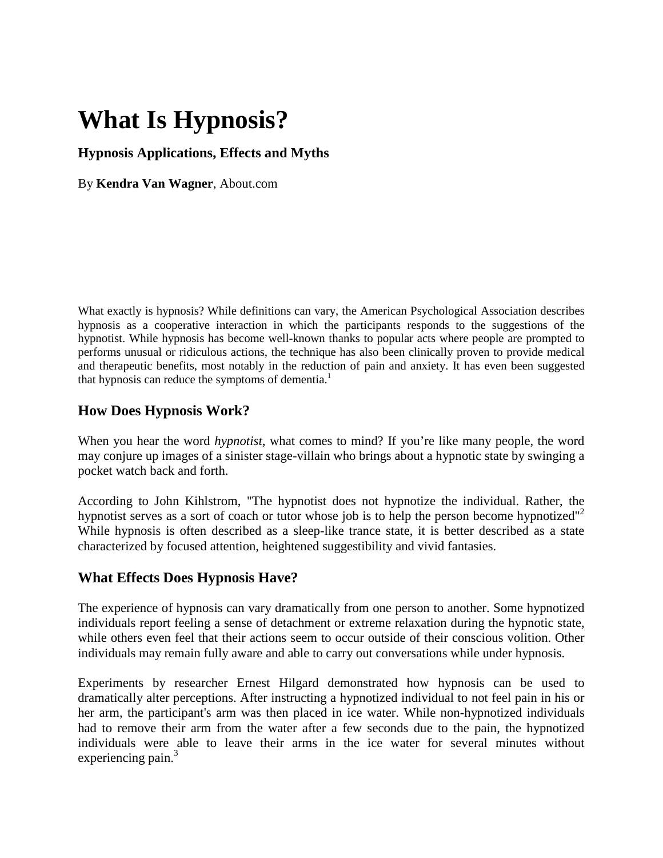# **What Is Hypnosis?**

## **Hypnosis Applications, Effects and Myths**

By **[Kendra Van Wagner](http://psychology.about.com/mbiopage.htm)**, About.com

What exactly is hypnosis? While definitions can vary, the American Psychological Association describes hypnosis as a cooperative interaction in which the participants responds to the suggestions of the hypnotist. While hypnosis has become well-known thanks to popular acts where people are prompted to performs unusual or ridiculous actions, the technique has also been clinically proven to provide medical and therapeutic benefits, most notably in the reduction of pain and anxiety. It has even been suggested that hypnosis can reduce the symptoms of dementia.<sup>1</sup>

## **How Does Hypnosis Work?**

When you hear the word *hypnotist*, what comes to mind? If you're like many people, the word may conjure up images of a sinister stage-villain who brings about a hypnotic state by swinging a pocket watch back and forth.

According to John Kihlstrom, "The hypnotist does not hypnotize the individual. Rather, the hypnotist serves as a sort of coach or tutor whose job is to help the person become hypnotized"<sup>2</sup> While hypnosis is often described as a sleep-like trance state, it is better described as a state characterized by focused attention, heightened suggestibility and vivid fantasies.

## **What Effects Does Hypnosis Have?**

The experience of hypnosis can vary dramatically from one person to another. Some hypnotized individuals report feeling a sense of detachment or extreme relaxation during the hypnotic state, while others even feel that their actions seem to occur outside of their conscious volition. Other individuals may remain fully aware and able to carry out conversations while under hypnosis.

Experiments by researcher Ernest Hilgard demonstrated how hypnosis can be used to dramatically alter perceptions. After instructing a hypnotized individual to not feel pain in his or her arm, the participant's arm was then placed in ice water. While non-hypnotized individuals had to remove their arm from the water after a few seconds due to the pain, the hypnotized individuals were able to leave their arms in the ice water for several minutes without experiencing pain. $3$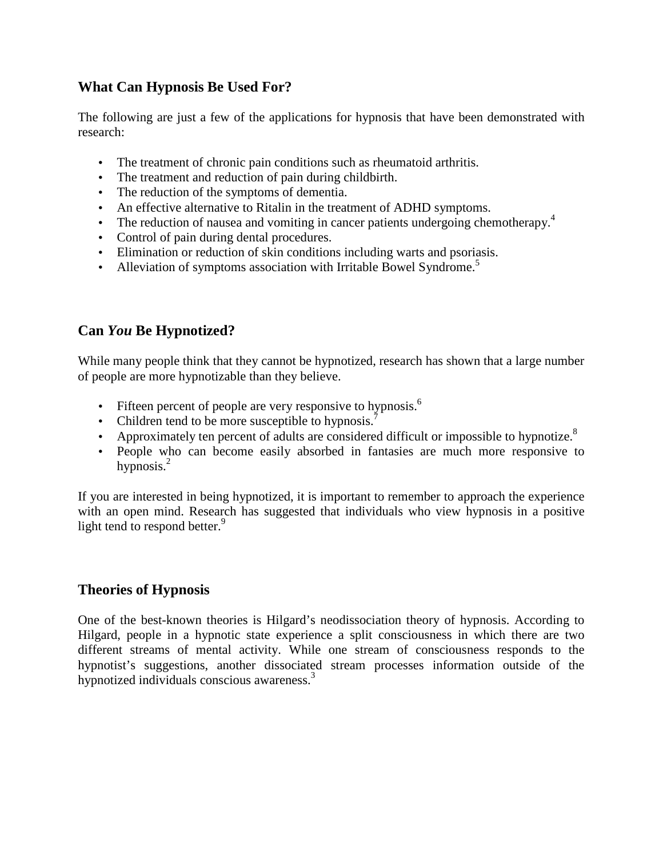## **What Can Hypnosis Be Used For?**

The following are just a few of the applications for hypnosis that have been demonstrated with research:

- The treatment of chronic pain conditions such as rheumatoid arthritis.
- The treatment and reduction of pain during childbirth.
- The reduction of the symptoms of dementia.
- An effective alternative to Ritalin in the treatment of ADHD symptoms.
- The reduction of nausea and vomiting in cancer patients undergoing chemotherapy.<sup>4</sup>
- Control of pain during dental procedures.
- Elimination or reduction of skin conditions including warts and psoriasis.
- Alleviation of symptoms association with [Irritable Bowel Syndrome.](http://ibs.about.com/)<sup>5</sup>

## **Can** *You* **Be Hypnotized?**

While many people think that they cannot be hypnotized, research has shown that a large number of people are more hypnotizable than they believe.

- Fifteen percent of people are very responsive to hypnosis.<sup>6</sup>
- Children tend to be more susceptible to hypnosis.<sup>7</sup>
- Approximately ten percent of adults are considered difficult or impossible to hypnotize.<sup>8</sup>
- People who can become easily absorbed in fantasies are much more responsive to hypnosis. $^{2}$

If you are interested in being hypnotized, it is important to remember to approach the experience with an open mind. Research has suggested that individuals who view hypnosis in a positive light tend to respond better.<sup>9</sup>

### **Theories of Hypnosis**

One of the best-known theories is Hilgard's neodissociation theory of hypnosis. According to Hilgard, people in a hypnotic state experience a split consciousness in which there are two different streams of mental activity. While one stream of consciousness responds to the hypnotist's suggestions, another dissociated stream processes information outside of the hypnotized individuals conscious awareness.<sup>3</sup>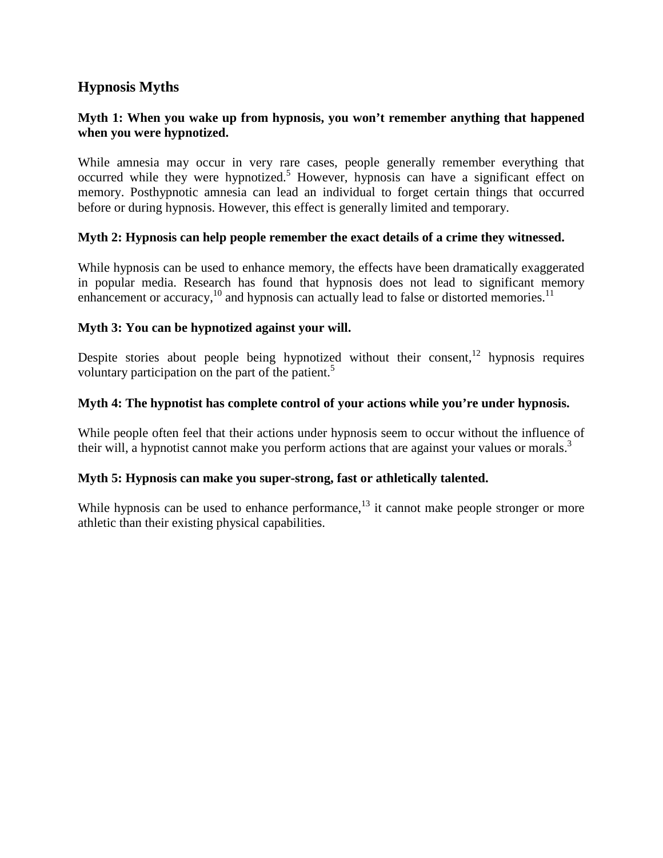## **Hypnosis Myths**

### **Myth 1: When you wake up from hypnosis, you won't remember anything that happened when you were hypnotized.**

While amnesia may occur in very rare cases, people generally remember everything that occurred while they were hypnotized.<sup>5</sup> However, hypnosis can have a significant effect on memory. Posthypnotic amnesia can lead an individual to forget certain things that occurred before or during hypnosis. However, this effect is generally limited and temporary.

#### **Myth 2: Hypnosis can help people remember the exact details of a crime they witnessed.**

While hypnosis can be used to enhance memory, the effects have been dramatically exaggerated in popular media. Research has found that hypnosis does not lead to significant memory enhancement or accuracy,<sup>10</sup> and hypnosis can actually lead to false or distorted memories.<sup>11</sup>

#### **Myth 3: You can be hypnotized against your will.**

Despite stories about people being hypnotized without their consent,  $12$  hypnosis requires voluntary participation on the part of the patient.<sup>5</sup>

#### **Myth 4: The hypnotist has complete control of your actions while you're under hypnosis.**

While people often feel that their actions under hypnosis seem to occur without the influence of their will, a hypnotist cannot make you perform actions that are against your values or morals.<sup>3</sup>

#### **Myth 5: Hypnosis can make you super-strong, fast or athletically talented.**

While hypnosis can be used to enhance performance, $13$  it cannot make people stronger or more athletic than their existing physical capabilities.